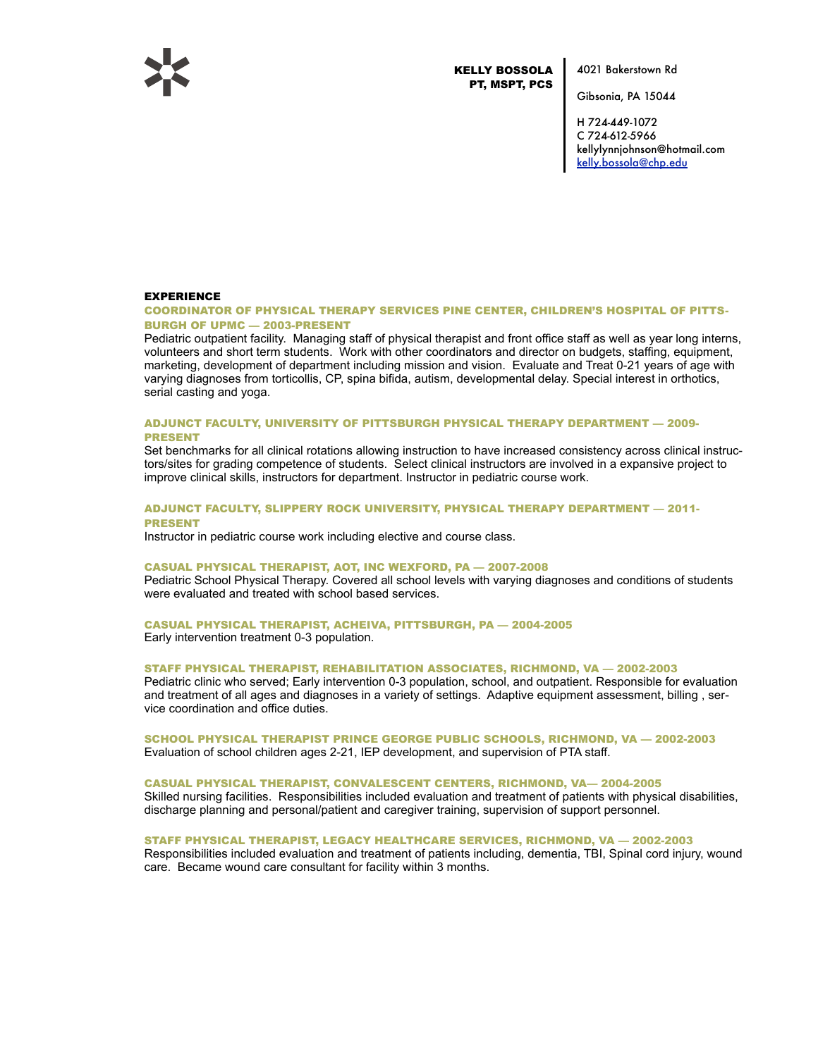

KELLY BOSSOLA PT, MSPT, PCS

4021 Bakerstown Rd

Gibsonia, PA 15044

H 724-449-1072 C 724-612-5966 kellylynnjohnson@hotmail.com [kelly.bossola@chp.edu](mailto:kelly.bossola@chp.edu)

# EXPERIENCE

# COORDINATOR OF PHYSICAL THERAPY SERVICES PINE CENTER, CHILDREN'S HOSPITAL OF PITTS-BURGH OF UPMC — 2003-PRESENT

Pediatric outpatient facility. Managing staff of physical therapist and front office staff as well as year long interns, volunteers and short term students. Work with other coordinators and director on budgets, staffing, equipment, marketing, development of department including mission and vision. Evaluate and Treat 0-21 years of age with varying diagnoses from torticollis, CP, spina bifida, autism, developmental delay. Special interest in orthotics, serial casting and yoga.

#### ADJUNCT FACULTY, UNIVERSITY OF PITTSBURGH PHYSICAL THERAPY DEPARTMENT — 2009- PRESENT

Set benchmarks for all clinical rotations allowing instruction to have increased consistency across clinical instructors/sites for grading competence of students. Select clinical instructors are involved in a expansive project to improve clinical skills, instructors for department. Instructor in pediatric course work.

# ADJUNCT FACULTY, SLIPPERY ROCK UNIVERSITY, PHYSICAL THERAPY DEPARTMENT — 2011- PRESENT

Instructor in pediatric course work including elective and course class.

#### CASUAL PHYSICAL THERAPIST, AOT, INC WEXFORD, PA — 2007-2008

Pediatric School Physical Therapy. Covered all school levels with varying diagnoses and conditions of students were evaluated and treated with school based services.

# CASUAL PHYSICAL THERAPIST, ACHEIVA, PITTSBURGH, PA — 2004-2005

Early intervention treatment 0-3 population.

## STAFF PHYSICAL THERAPIST, REHABILITATION ASSOCIATES, RICHMOND, VA — 2002-2003

Pediatric clinic who served; Early intervention 0-3 population, school, and outpatient. Responsible for evaluation and treatment of all ages and diagnoses in a variety of settings. Adaptive equipment assessment, billing , service coordination and office duties.

# SCHOOL PHYSICAL THERAPIST PRINCE GEORGE PUBLIC SCHOOLS, RICHMOND, VA — 2002-2003 Evaluation of school children ages 2-21, IEP development, and supervision of PTA staff.

#### CASUAL PHYSICAL THERAPIST, CONVALESCENT CENTERS, RICHMOND, VA— 2004-2005

Skilled nursing facilities. Responsibilities included evaluation and treatment of patients with physical disabilities, discharge planning and personal/patient and caregiver training, supervision of support personnel.

# STAFF PHYSICAL THERAPIST, LEGACY HEALTHCARE SERVICES, RICHMOND, VA — 2002-2003

Responsibilities included evaluation and treatment of patients including, dementia, TBI, Spinal cord injury, wound care. Became wound care consultant for facility within 3 months.